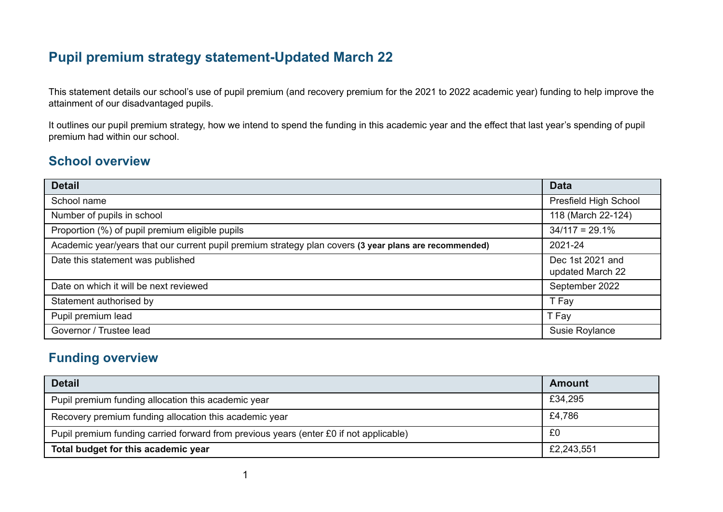# **Pupil premium strategy statement-Updated March 22**

This statement details our school's use of pupil premium (and recovery premium for the 2021 to 2022 academic year) funding to help improve the attainment of our disadvantaged pupils.

It outlines our pupil premium strategy, how we intend to spend the funding in this academic year and the effect that last year's spending of pupil premium had within our school.

### **School overview**

| <b>Detail</b>                                                                                          | <b>Data</b>                          |
|--------------------------------------------------------------------------------------------------------|--------------------------------------|
| School name                                                                                            | Presfield High School                |
| Number of pupils in school                                                                             | 118 (March 22-124)                   |
| Proportion (%) of pupil premium eligible pupils                                                        | $34/117 = 29.1\%$                    |
| Academic year/years that our current pupil premium strategy plan covers (3 year plans are recommended) | 2021-24                              |
| Date this statement was published                                                                      | Dec 1st 2021 and<br>updated March 22 |
| Date on which it will be next reviewed                                                                 | September 2022                       |
| Statement authorised by                                                                                | T Fay                                |
| Pupil premium lead                                                                                     | T Fay                                |
| Governor / Trustee lead                                                                                | Susie Roylance                       |

### **Funding overview**

| <b>Detail</b>                                                                          | <b>Amount</b> |
|----------------------------------------------------------------------------------------|---------------|
| Pupil premium funding allocation this academic year                                    | £34,295       |
| Recovery premium funding allocation this academic year                                 | £4,786        |
| Pupil premium funding carried forward from previous years (enter £0 if not applicable) | £0            |
| Total budget for this academic year                                                    | £2,243,551    |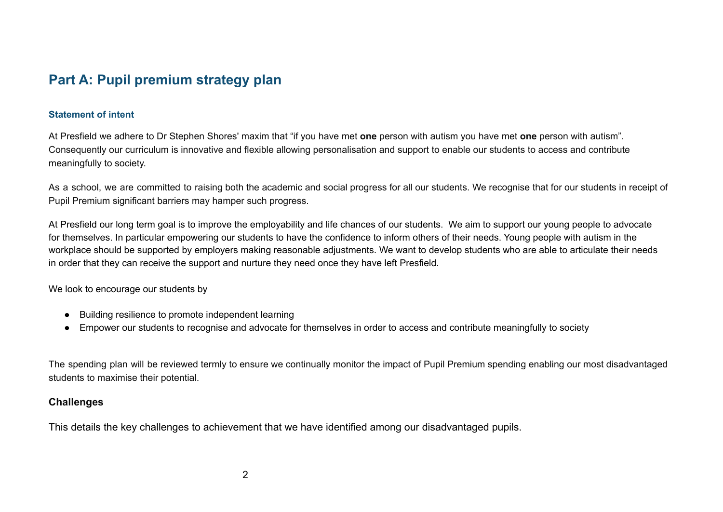# **Part A: Pupil premium strategy plan**

#### **Statement of intent**

At Presfield we adhere to Dr Stephen Shores' maxim that "if you have met **one** person with autism you have met **one** person with autism". Consequently our curriculum is innovative and flexible allowing personalisation and support to enable our students to access and contribute meaningfully to society.

As a school, we are committed to raising both the academic and social progress for all our students. We recognise that for our students in receipt of Pupil Premium significant barriers may hamper such progress.

At Presfield our long term goal is to improve the employability and life chances of our students. We aim to support our young people to advocate for themselves. In particular empowering our students to have the confidence to inform others of their needs. Young people with autism in the workplace should be supported by employers making reasonable adjustments. We want to develop students who are able to articulate their needs in order that they can receive the support and nurture they need once they have left Presfield.

We look to encourage our students by

- Building resilience to promote independent learning
- Empower our students to recognise and advocate for themselves in order to access and contribute meaningfully to society

The spending plan will be reviewed termly to ensure we continually monitor the impact of Pupil Premium spending enabling our most disadvantaged students to maximise their potential.

#### **Challenges**

This details the key challenges to achievement that we have identified among our disadvantaged pupils.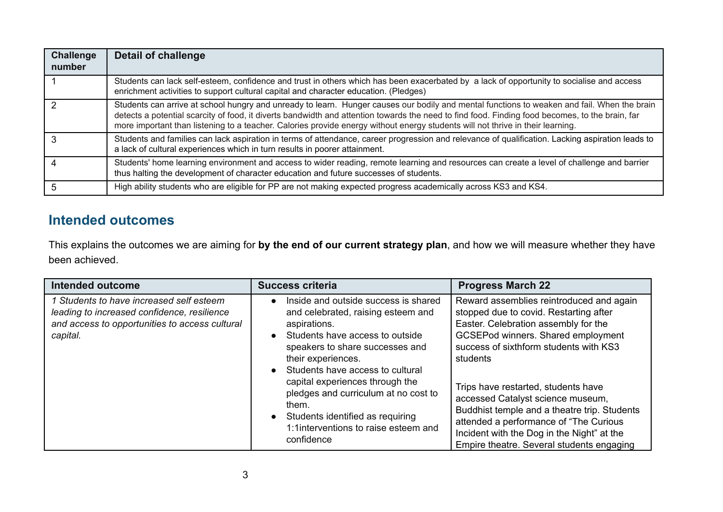| Challenge<br>number | <b>Detail of challenge</b>                                                                                                                                                                                                                                                                                                                                                                                                       |
|---------------------|----------------------------------------------------------------------------------------------------------------------------------------------------------------------------------------------------------------------------------------------------------------------------------------------------------------------------------------------------------------------------------------------------------------------------------|
|                     | Students can lack self-esteem, confidence and trust in others which has been exacerbated by a lack of opportunity to socialise and access<br>enrichment activities to support cultural capital and character education. (Pledges)                                                                                                                                                                                                |
|                     | Students can arrive at school hungry and unready to learn. Hunger causes our bodily and mental functions to weaken and fail. When the brain<br>detects a potential scarcity of food, it diverts bandwidth and attention towards the need to find food. Finding food becomes, to the brain, far<br>more important than listening to a teacher. Calories provide energy without energy students will not thrive in their learning. |
|                     | Students and families can lack aspiration in terms of attendance, career progression and relevance of qualification. Lacking aspiration leads to<br>a lack of cultural experiences which in turn results in poorer attainment.                                                                                                                                                                                                   |
|                     | Students' home learning environment and access to wider reading, remote learning and resources can create a level of challenge and barrier<br>thus halting the development of character education and future successes of students.                                                                                                                                                                                              |
|                     | High ability students who are eligible for PP are not making expected progress academically across KS3 and KS4.                                                                                                                                                                                                                                                                                                                  |

## **Intended outcomes**

This explains the outcomes we are aiming for **by the end of our current strategy plan**, and how we will measure whether they have been achieved.

| <b>Intended outcome</b>                                                                                                                               | <b>Success criteria</b>                                                                                                                                                                                                                                                                                                                                                                                  | <b>Progress March 22</b>                                                                                                                                                                                                                                                                                                                                                                                                                                                                |
|-------------------------------------------------------------------------------------------------------------------------------------------------------|----------------------------------------------------------------------------------------------------------------------------------------------------------------------------------------------------------------------------------------------------------------------------------------------------------------------------------------------------------------------------------------------------------|-----------------------------------------------------------------------------------------------------------------------------------------------------------------------------------------------------------------------------------------------------------------------------------------------------------------------------------------------------------------------------------------------------------------------------------------------------------------------------------------|
| 1 Students to have increased self esteem<br>leading to increased confidence, resilience<br>and access to opportunities to access cultural<br>capital. | Inside and outside success is shared<br>and celebrated, raising esteem and<br>aspirations.<br>Students have access to outside<br>speakers to share successes and<br>their experiences.<br>Students have access to cultural<br>capital experiences through the<br>pledges and curriculum at no cost to<br>them.<br>Students identified as requiring<br>1:1interventions to raise esteem and<br>confidence | Reward assemblies reintroduced and again<br>stopped due to covid. Restarting after<br>Easter. Celebration assembly for the<br>GCSEPod winners. Shared employment<br>success of sixthform students with KS3<br>students<br>Trips have restarted, students have<br>accessed Catalyst science museum,<br>Buddhist temple and a theatre trip. Students<br>attended a performance of "The Curious<br>Incident with the Dog in the Night" at the<br>Empire theatre. Several students engaging |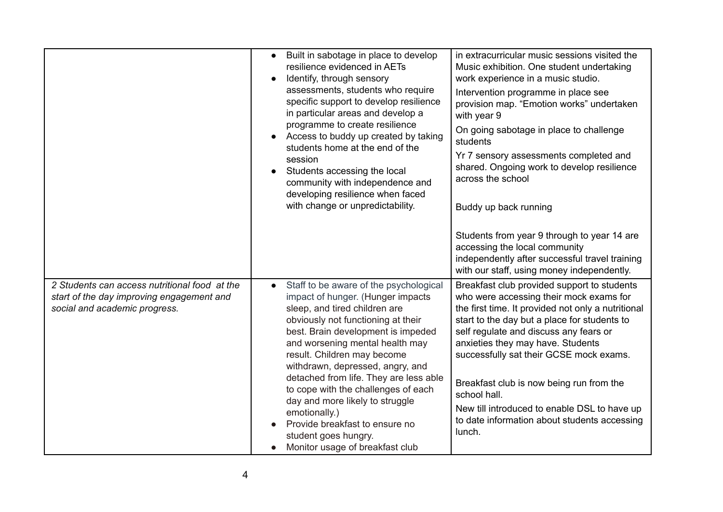|                                                                                                                             | Built in sabotage in place to develop<br>$\bullet$<br>resilience evidenced in AETs<br>Identify, through sensory<br>assessments, students who require<br>specific support to develop resilience<br>in particular areas and develop a<br>programme to create resilience<br>Access to buddy up created by taking<br>students home at the end of the<br>session<br>Students accessing the local<br>community with independence and<br>developing resilience when faced<br>with change or unpredictability.                                        | in extracurricular music sessions visited the<br>Music exhibition. One student undertaking<br>work experience in a music studio.<br>Intervention programme in place see<br>provision map. "Emotion works" undertaken<br>with year 9<br>On going sabotage in place to challenge<br>students<br>Yr 7 sensory assessments completed and<br>shared. Ongoing work to develop resilience<br>across the school<br>Buddy up back running<br>Students from year 9 through to year 14 are<br>accessing the local community<br>independently after successful travel training |
|-----------------------------------------------------------------------------------------------------------------------------|-----------------------------------------------------------------------------------------------------------------------------------------------------------------------------------------------------------------------------------------------------------------------------------------------------------------------------------------------------------------------------------------------------------------------------------------------------------------------------------------------------------------------------------------------|--------------------------------------------------------------------------------------------------------------------------------------------------------------------------------------------------------------------------------------------------------------------------------------------------------------------------------------------------------------------------------------------------------------------------------------------------------------------------------------------------------------------------------------------------------------------|
| 2 Students can access nutritional food at the<br>start of the day improving engagement and<br>social and academic progress. | Staff to be aware of the psychological<br>$\bullet$<br>impact of hunger. (Hunger impacts<br>sleep, and tired children are<br>obviously not functioning at their<br>best. Brain development is impeded<br>and worsening mental health may<br>result. Children may become<br>withdrawn, depressed, angry, and<br>detached from life. They are less able<br>to cope with the challenges of each<br>day and more likely to struggle<br>emotionally.)<br>Provide breakfast to ensure no<br>student goes hungry.<br>Monitor usage of breakfast club | with our staff, using money independently.<br>Breakfast club provided support to students<br>who were accessing their mock exams for<br>the first time. It provided not only a nutritional<br>start to the day but a place for students to<br>self regulate and discuss any fears or<br>anxieties they may have. Students<br>successfully sat their GCSE mock exams.<br>Breakfast club is now being run from the<br>school hall.<br>New till introduced to enable DSL to have up<br>to date information about students accessing<br>lunch.                         |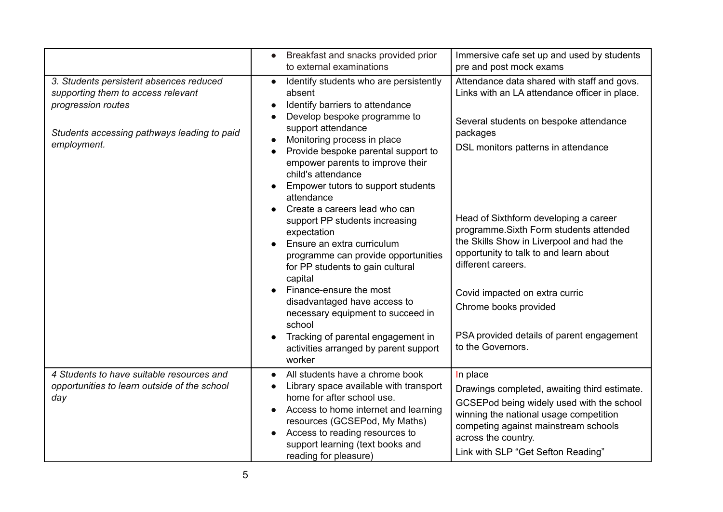|                                                                                                                                                                   | Breakfast and snacks provided prior<br>$\bullet$<br>to external examinations                                                                                                                                                                                                                                                               | Immersive cafe set up and used by students<br>pre and post mock exams                                                                                                                                                                                |
|-------------------------------------------------------------------------------------------------------------------------------------------------------------------|--------------------------------------------------------------------------------------------------------------------------------------------------------------------------------------------------------------------------------------------------------------------------------------------------------------------------------------------|------------------------------------------------------------------------------------------------------------------------------------------------------------------------------------------------------------------------------------------------------|
| 3. Students persistent absences reduced<br>supporting them to access relevant<br>progression routes<br>Students accessing pathways leading to paid<br>employment. | Identify students who are persistently<br>$\bullet$<br>absent<br>Identify barriers to attendance<br>Develop bespoke programme to<br>support attendance<br>Monitoring process in place<br>Provide bespoke parental support to<br>empower parents to improve their<br>child's attendance<br>Empower tutors to support students<br>attendance | Attendance data shared with staff and govs.<br>Links with an LA attendance officer in place.<br>Several students on bespoke attendance<br>packages<br>DSL monitors patterns in attendance                                                            |
|                                                                                                                                                                   | Create a careers lead who can<br>support PP students increasing<br>expectation<br>Ensure an extra curriculum<br>programme can provide opportunities<br>for PP students to gain cultural<br>capital                                                                                                                                         | Head of Sixthform developing a career<br>programme. Sixth Form students attended<br>the Skills Show in Liverpool and had the<br>opportunity to talk to and learn about<br>different careers.                                                         |
|                                                                                                                                                                   | Finance-ensure the most<br>disadvantaged have access to<br>necessary equipment to succeed in<br>school<br>Tracking of parental engagement in<br>activities arranged by parent support<br>worker                                                                                                                                            | Covid impacted on extra curric<br>Chrome books provided<br>PSA provided details of parent engagement<br>to the Governors.                                                                                                                            |
| 4 Students to have suitable resources and<br>opportunities to learn outside of the school<br>day                                                                  | All students have a chrome book<br>$\bullet$<br>Library space available with transport<br>home for after school use.<br>Access to home internet and learning<br>$\bullet$<br>resources (GCSEPod, My Maths)<br>Access to reading resources to<br>$\bullet$<br>support learning (text books and<br>reading for pleasure)                     | In place<br>Drawings completed, awaiting third estimate.<br>GCSEPod being widely used with the school<br>winning the national usage competition<br>competing against mainstream schools<br>across the country.<br>Link with SLP "Get Sefton Reading" |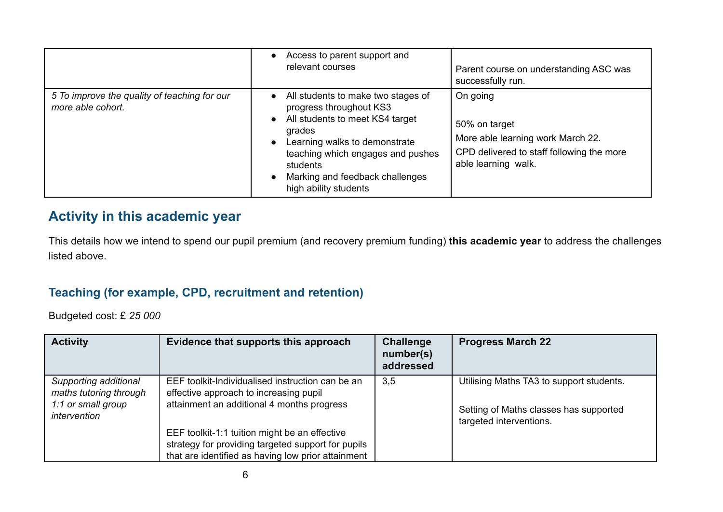|                                                                   | Access to parent support and<br>relevant courses                                                                                                                                                                                                                                   | Parent course on understanding ASC was<br>successfully run.                                                                        |
|-------------------------------------------------------------------|------------------------------------------------------------------------------------------------------------------------------------------------------------------------------------------------------------------------------------------------------------------------------------|------------------------------------------------------------------------------------------------------------------------------------|
| 5 To improve the quality of teaching for our<br>more able cohort. | All students to make two stages of<br>$\bullet$<br>progress throughout KS3<br>All students to meet KS4 target<br>$\bullet$<br>grades<br>Learning walks to demonstrate<br>teaching which engages and pushes<br>students<br>Marking and feedback challenges<br>high ability students | On going<br>50% on target<br>More able learning work March 22.<br>CPD delivered to staff following the more<br>able learning walk. |

# **Activity in this academic year**

This details how we intend to spend our pupil premium (and recovery premium funding) **this academic year** to address the challenges listed above.

## **Teaching (for example, CPD, recruitment and retention)**

Budgeted cost: £ *25 000*

| <b>Activity</b>                                                                       | Evidence that supports this approach                                                                                                                                                                                                                                                                  | <b>Challenge</b><br>number(s)<br>addressed | <b>Progress March 22</b>                                                                                      |
|---------------------------------------------------------------------------------------|-------------------------------------------------------------------------------------------------------------------------------------------------------------------------------------------------------------------------------------------------------------------------------------------------------|--------------------------------------------|---------------------------------------------------------------------------------------------------------------|
| Supporting additional<br>maths tutoring through<br>1:1 or small group<br>intervention | EEF toolkit-Individualised instruction can be an<br>effective approach to increasing pupil<br>attainment an additional 4 months progress<br>EEF toolkit-1:1 tuition might be an effective<br>strategy for providing targeted support for pupils<br>that are identified as having low prior attainment | 3,5                                        | Utilising Maths TA3 to support students.<br>Setting of Maths classes has supported<br>targeted interventions. |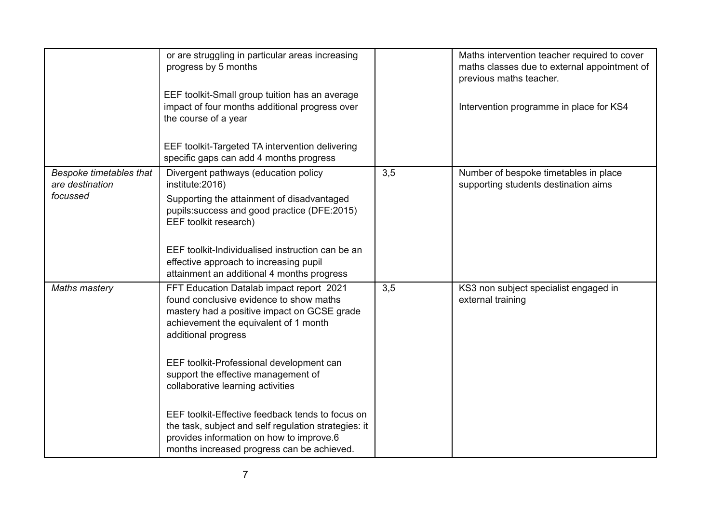|                                                               | or are struggling in particular areas increasing<br>progress by 5 months<br>EEF toolkit-Small group tuition has an average<br>impact of four months additional progress over<br>the course of a year<br>EEF toolkit-Targeted TA intervention delivering |     | Maths intervention teacher required to cover<br>maths classes due to external appointment of<br>previous maths teacher.<br>Intervention programme in place for KS4 |
|---------------------------------------------------------------|---------------------------------------------------------------------------------------------------------------------------------------------------------------------------------------------------------------------------------------------------------|-----|--------------------------------------------------------------------------------------------------------------------------------------------------------------------|
|                                                               | specific gaps can add 4 months progress                                                                                                                                                                                                                 |     |                                                                                                                                                                    |
| <b>Bespoke timetables that</b><br>are destination<br>focussed | Divergent pathways (education policy<br>institute: 2016)<br>Supporting the attainment of disadvantaged<br>pupils: success and good practice (DFE: 2015)<br>EEF toolkit research)                                                                        | 3,5 | Number of bespoke timetables in place<br>supporting students destination aims                                                                                      |
|                                                               | EEF toolkit-Individualised instruction can be an<br>effective approach to increasing pupil<br>attainment an additional 4 months progress                                                                                                                |     |                                                                                                                                                                    |
| <b>Maths mastery</b>                                          | FFT Education Datalab impact report 2021<br>found conclusive evidence to show maths<br>mastery had a positive impact on GCSE grade<br>achievement the equivalent of 1 month<br>additional progress                                                      | 3,5 | KS3 non subject specialist engaged in<br>external training                                                                                                         |
|                                                               | EEF toolkit-Professional development can<br>support the effective management of<br>collaborative learning activities                                                                                                                                    |     |                                                                                                                                                                    |
|                                                               | EEF toolkit-Effective feedback tends to focus on<br>the task, subject and self regulation strategies: it<br>provides information on how to improve.6<br>months increased progress can be achieved.                                                      |     |                                                                                                                                                                    |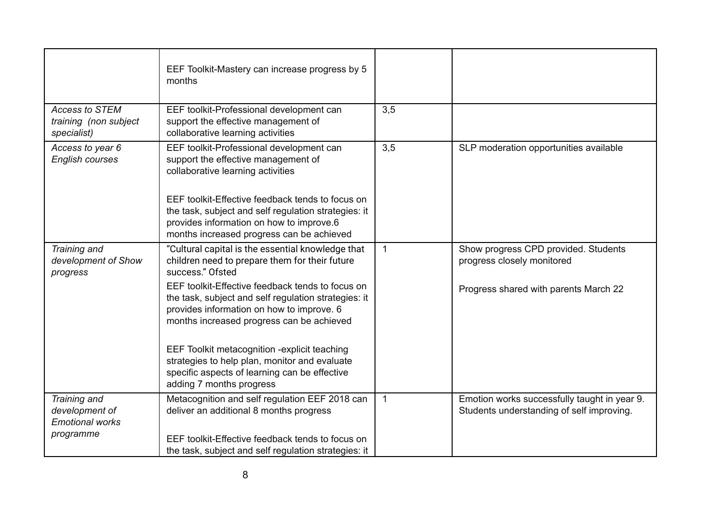|                                                               | EEF Toolkit-Mastery can increase progress by 5<br>months                                                                                                                                           |                |                                                                                           |
|---------------------------------------------------------------|----------------------------------------------------------------------------------------------------------------------------------------------------------------------------------------------------|----------------|-------------------------------------------------------------------------------------------|
| <b>Access to STEM</b><br>training (non subject<br>specialist) | EEF toolkit-Professional development can<br>support the effective management of<br>collaborative learning activities                                                                               | 3,5            |                                                                                           |
| Access to year 6<br><b>English courses</b>                    | EEF toolkit-Professional development can<br>support the effective management of<br>collaborative learning activities                                                                               | 3,5            | SLP moderation opportunities available                                                    |
|                                                               | EEF toolkit-Effective feedback tends to focus on<br>the task, subject and self regulation strategies: it<br>provides information on how to improve.6<br>months increased progress can be achieved  |                |                                                                                           |
| Training and<br>development of Show<br>progress               | "Cultural capital is the essential knowledge that<br>children need to prepare them for their future<br>success." Ofsted                                                                            | $\overline{1}$ | Show progress CPD provided. Students<br>progress closely monitored                        |
|                                                               | EEF toolkit-Effective feedback tends to focus on<br>the task, subject and self regulation strategies: it<br>provides information on how to improve. 6<br>months increased progress can be achieved |                | Progress shared with parents March 22                                                     |
|                                                               | EEF Toolkit metacognition -explicit teaching<br>strategies to help plan, monitor and evaluate<br>specific aspects of learning can be effective<br>adding 7 months progress                         |                |                                                                                           |
| Training and<br>development of<br><b>Emotional works</b>      | Metacognition and self regulation EEF 2018 can<br>deliver an additional 8 months progress                                                                                                          | $\overline{1}$ | Emotion works successfully taught in year 9.<br>Students understanding of self improving. |
| programme                                                     | EEF toolkit-Effective feedback tends to focus on<br>the task, subject and self regulation strategies: it                                                                                           |                |                                                                                           |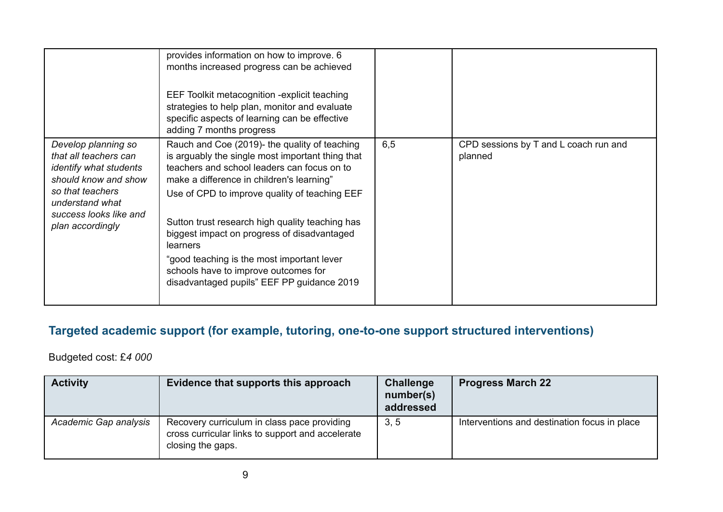|                                                                                                                                                                                            | provides information on how to improve. 6<br>months increased progress can be achieved<br>EEF Toolkit metacognition - explicit teaching<br>strategies to help plan, monitor and evaluate<br>specific aspects of learning can be effective<br>adding 7 months progress                                                                                                                                                                                                                                   |     |                                                  |
|--------------------------------------------------------------------------------------------------------------------------------------------------------------------------------------------|---------------------------------------------------------------------------------------------------------------------------------------------------------------------------------------------------------------------------------------------------------------------------------------------------------------------------------------------------------------------------------------------------------------------------------------------------------------------------------------------------------|-----|--------------------------------------------------|
| Develop planning so<br>that all teachers can<br><i>identify what students</i><br>should know and show<br>so that teachers<br>understand what<br>success looks like and<br>plan accordingly | Rauch and Coe (2019)- the quality of teaching<br>is arguably the single most important thing that<br>teachers and school leaders can focus on to<br>make a difference in children's learning"<br>Use of CPD to improve quality of teaching EEF<br>Sutton trust research high quality teaching has<br>biggest impact on progress of disadvantaged<br><b>learners</b><br>"good teaching is the most important lever<br>schools have to improve outcomes for<br>disadvantaged pupils" EEF PP guidance 2019 | 6,5 | CPD sessions by T and L coach run and<br>planned |

# **Targeted academic support (for example, tutoring, one-to-one support structured interventions)**

Budgeted cost: £*4 000*

| <b>Activity</b>       | Evidence that supports this approach                                                                                 | Challenge<br>number(s)<br>addressed | <b>Progress March 22</b>                     |
|-----------------------|----------------------------------------------------------------------------------------------------------------------|-------------------------------------|----------------------------------------------|
| Academic Gap analysis | Recovery curriculum in class pace providing<br>cross curricular links to support and accelerate<br>closing the gaps. | 3, 5                                | Interventions and destination focus in place |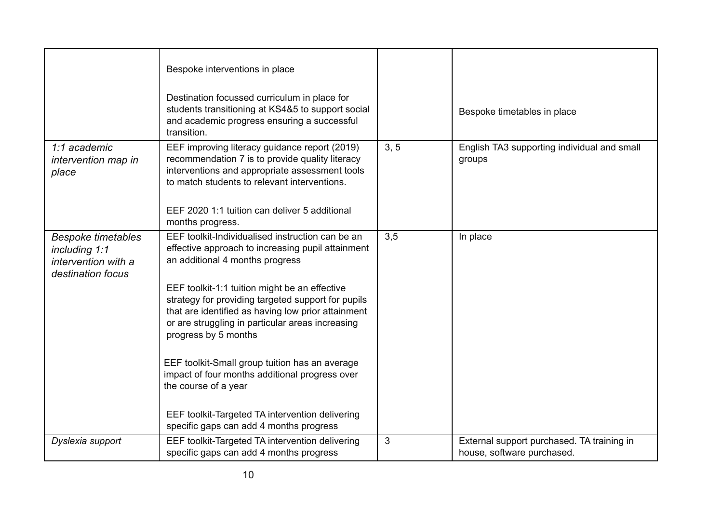|                                                                                        | Bespoke interventions in place<br>Destination focussed curriculum in place for<br>students transitioning at KS4&5 to support social<br>and academic progress ensuring a successful<br>transition.                                                                                                                                                                                                                                                                                                                                                                                                           |      | Bespoke timetables in place                                              |
|----------------------------------------------------------------------------------------|-------------------------------------------------------------------------------------------------------------------------------------------------------------------------------------------------------------------------------------------------------------------------------------------------------------------------------------------------------------------------------------------------------------------------------------------------------------------------------------------------------------------------------------------------------------------------------------------------------------|------|--------------------------------------------------------------------------|
| 1:1 academic<br>intervention map in<br>place                                           | EEF improving literacy guidance report (2019)<br>recommendation 7 is to provide quality literacy<br>interventions and appropriate assessment tools<br>to match students to relevant interventions.<br>EEF 2020 1:1 tuition can deliver 5 additional<br>months progress.                                                                                                                                                                                                                                                                                                                                     | 3, 5 | English TA3 supporting individual and small<br>groups                    |
| <b>Bespoke timetables</b><br>including 1:1<br>intervention with a<br>destination focus | EEF toolkit-Individualised instruction can be an<br>effective approach to increasing pupil attainment<br>an additional 4 months progress<br>EEF toolkit-1:1 tuition might be an effective<br>strategy for providing targeted support for pupils<br>that are identified as having low prior attainment<br>or are struggling in particular areas increasing<br>progress by 5 months<br>EEF toolkit-Small group tuition has an average<br>impact of four months additional progress over<br>the course of a year<br>EEF toolkit-Targeted TA intervention delivering<br>specific gaps can add 4 months progress | 3,5  | In place                                                                 |
| Dyslexia support                                                                       | EEF toolkit-Targeted TA intervention delivering<br>specific gaps can add 4 months progress                                                                                                                                                                                                                                                                                                                                                                                                                                                                                                                  | 3    | External support purchased. TA training in<br>house, software purchased. |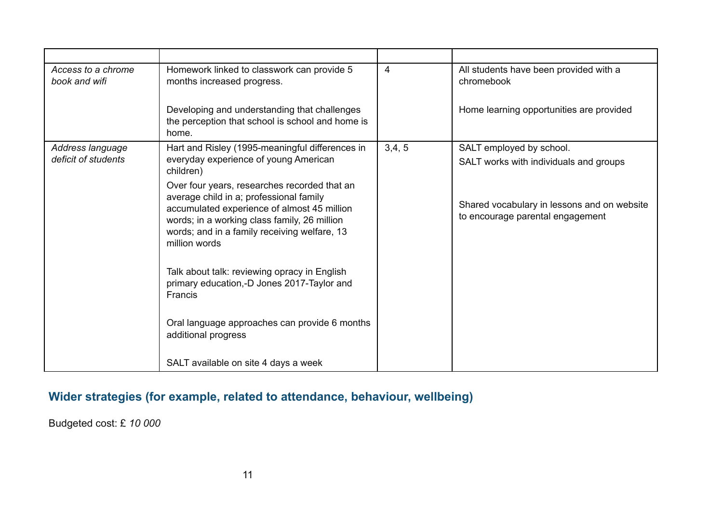| Access to a chrome<br>book and wifi | Homework linked to classwork can provide 5<br>months increased progress.                                                                                                                                                                                | $\overline{4}$ | All students have been provided with a<br>chromebook                            |
|-------------------------------------|---------------------------------------------------------------------------------------------------------------------------------------------------------------------------------------------------------------------------------------------------------|----------------|---------------------------------------------------------------------------------|
|                                     | Developing and understanding that challenges<br>the perception that school is school and home is<br>home.                                                                                                                                               |                | Home learning opportunities are provided                                        |
| Address language                    | Hart and Risley (1995-meaningful differences in                                                                                                                                                                                                         | 3,4,5          | SALT employed by school.                                                        |
| deficit of students                 | everyday experience of young American<br>children)                                                                                                                                                                                                      |                | SALT works with individuals and groups                                          |
|                                     | Over four years, researches recorded that an<br>average child in a; professional family<br>accumulated experience of almost 45 million<br>words; in a working class family, 26 million<br>words; and in a family receiving welfare, 13<br>million words |                | Shared vocabulary in lessons and on website<br>to encourage parental engagement |
|                                     | Talk about talk: reviewing opracy in English<br>primary education,-D Jones 2017-Taylor and<br>Francis                                                                                                                                                   |                |                                                                                 |
|                                     | Oral language approaches can provide 6 months<br>additional progress                                                                                                                                                                                    |                |                                                                                 |
|                                     | SALT available on site 4 days a week                                                                                                                                                                                                                    |                |                                                                                 |

# **Wider strategies (for example, related to attendance, behaviour, wellbeing)**

Budgeted cost: £ *10 000*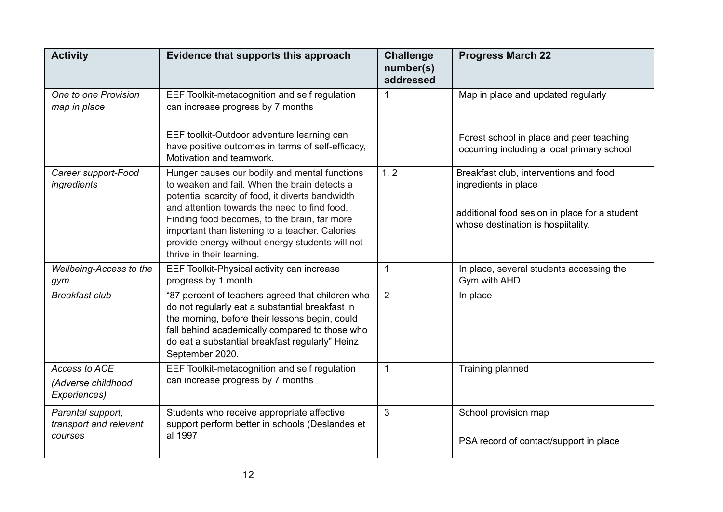| <b>Activity</b>                                            | Evidence that supports this approach                                                                                                                                                                                                                                                                                                                                                 | <b>Challenge</b><br>number(s)<br>addressed | <b>Progress March 22</b>                                                                                                                              |
|------------------------------------------------------------|--------------------------------------------------------------------------------------------------------------------------------------------------------------------------------------------------------------------------------------------------------------------------------------------------------------------------------------------------------------------------------------|--------------------------------------------|-------------------------------------------------------------------------------------------------------------------------------------------------------|
| One to one Provision<br>map in place                       | EEF Toolkit-metacognition and self regulation<br>can increase progress by 7 months                                                                                                                                                                                                                                                                                                   | $\mathbf{1}$                               | Map in place and updated regularly                                                                                                                    |
|                                                            | EEF toolkit-Outdoor adventure learning can<br>have positive outcomes in terms of self-efficacy,<br>Motivation and teamwork.                                                                                                                                                                                                                                                          |                                            | Forest school in place and peer teaching<br>occurring including a local primary school                                                                |
| Career support-Food<br>ingredients                         | Hunger causes our bodily and mental functions<br>to weaken and fail. When the brain detects a<br>potential scarcity of food, it diverts bandwidth<br>and attention towards the need to find food.<br>Finding food becomes, to the brain, far more<br>important than listening to a teacher. Calories<br>provide energy without energy students will not<br>thrive in their learning. | 1, 2                                       | Breakfast club, interventions and food<br>ingredients in place<br>additional food sesion in place for a student<br>whose destination is hospiitality. |
| Wellbeing-Access to the<br>gym                             | EEF Toolkit-Physical activity can increase<br>progress by 1 month                                                                                                                                                                                                                                                                                                                    | 1                                          | In place, several students accessing the<br>Gym with AHD                                                                                              |
| <b>Breakfast club</b>                                      | "87 percent of teachers agreed that children who<br>do not regularly eat a substantial breakfast in<br>the morning, before their lessons begin, could<br>fall behind academically compared to those who<br>do eat a substantial breakfast regularly" Heinz<br>September 2020.                                                                                                        | 2                                          | In place                                                                                                                                              |
| <b>Access to ACE</b><br>(Adverse childhood<br>Experiences) | EEF Toolkit-metacognition and self regulation<br>can increase progress by 7 months                                                                                                                                                                                                                                                                                                   | $\mathbf{1}$                               | Training planned                                                                                                                                      |
| Parental support,<br>transport and relevant<br>courses     | Students who receive appropriate affective<br>support perform better in schools (Deslandes et<br>al 1997                                                                                                                                                                                                                                                                             | 3                                          | School provision map<br>PSA record of contact/support in place                                                                                        |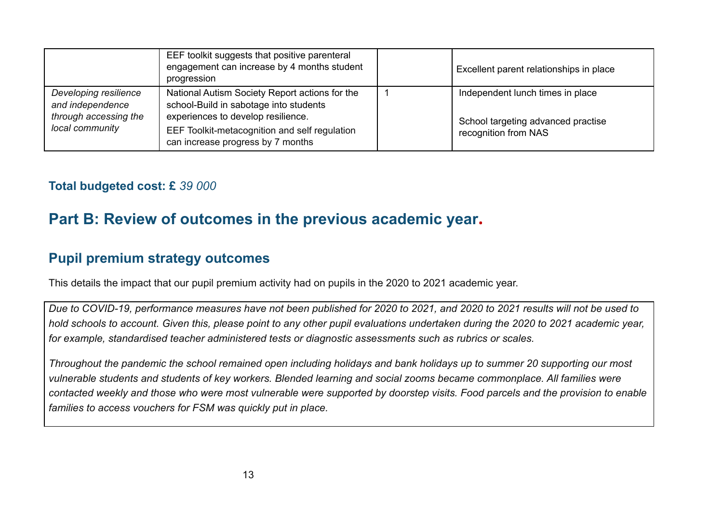|                                                                                       | EEF toolkit suggests that positive parenteral<br>engagement can increase by 4 months student<br>progression                    | Excellent parent relationships in place                                |
|---------------------------------------------------------------------------------------|--------------------------------------------------------------------------------------------------------------------------------|------------------------------------------------------------------------|
| Developing resilience<br>and independence<br>through accessing the<br>local community | National Autism Society Report actions for the<br>school-Build in sabotage into students<br>experiences to develop resilience. | Independent lunch times in place<br>School targeting advanced practise |
|                                                                                       | EEF Toolkit-metacognition and self regulation<br>can increase progress by 7 months                                             | recognition from NAS                                                   |

### **Total budgeted cost: £** *39 000*

# **Part B: Review of outcomes in the previous academic year.**

### **Pupil premium strategy outcomes**

This details the impact that our pupil premium activity had on pupils in the 2020 to 2021 academic year.

*Due to COVID-19, performance measures have not been published for 2020 to 2021, and 2020 to 2021 results will not be used to hold schools to account. Given this, please point to any other pupil evaluations undertaken during the 2020 to 2021 academic year, for example, standardised teacher administered tests or diagnostic assessments such as rubrics or scales.*

*Throughout the pandemic the school remained open including holidays and bank holidays up to summer 20 supporting our most vulnerable students and students of key workers. Blended learning and social zooms became commonplace. All families were contacted weekly and those who were most vulnerable were supported by doorstep visits. Food parcels and the provision to enable families to access vouchers for FSM was quickly put in place.*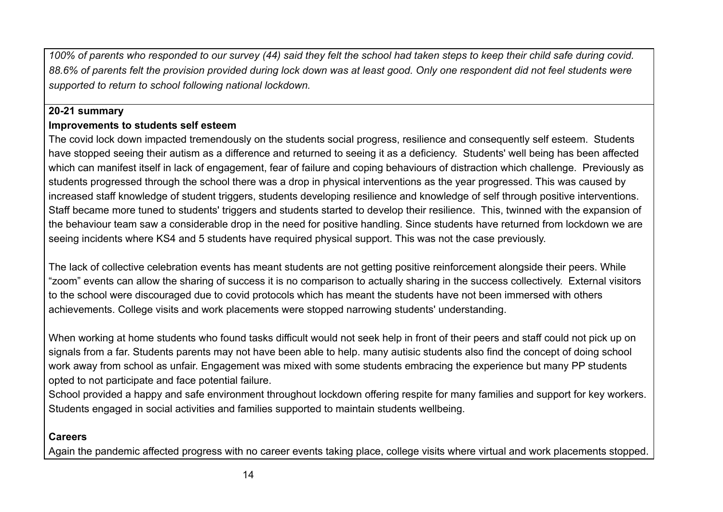*100% of parents who responded to our survey (44) said they felt the school had taken steps to keep their child safe during covid. 88.6% of parents felt the provision provided during lock down was at least good. Only one respondent did not feel students were supported to return to school following national lockdown.*

#### **20-21 summary**

#### **Improvements to students self esteem**

The covid lock down impacted tremendously on the students social progress, resilience and consequently self esteem. Students have stopped seeing their autism as a difference and returned to seeing it as a deficiency. Students' well being has been affected which can manifest itself in lack of engagement, fear of failure and coping behaviours of distraction which challenge. Previously as students progressed through the school there was a drop in physical interventions as the year progressed. This was caused by increased staff knowledge of student triggers, students developing resilience and knowledge of self through positive interventions. Staff became more tuned to students' triggers and students started to develop their resilience. This, twinned with the expansion of the behaviour team saw a considerable drop in the need for positive handling. Since students have returned from lockdown we are seeing incidents where KS4 and 5 students have required physical support. This was not the case previously.

The lack of collective celebration events has meant students are not getting positive reinforcement alongside their peers. While "zoom" events can allow the sharing of success it is no comparison to actually sharing in the success collectively. External visitors to the school were discouraged due to covid protocols which has meant the students have not been immersed with others achievements. College visits and work placements were stopped narrowing students' understanding.

When working at home students who found tasks difficult would not seek help in front of their peers and staff could not pick up on signals from a far. Students parents may not have been able to help. many autisic students also find the concept of doing school work away from school as unfair. Engagement was mixed with some students embracing the experience but many PP students opted to not participate and face potential failure.

School provided a happy and safe environment throughout lockdown offering respite for many families and support for key workers. Students engaged in social activities and families supported to maintain students wellbeing.

#### **Careers**

Again the pandemic affected progress with no career events taking place, college visits where virtual and work placements stopped.